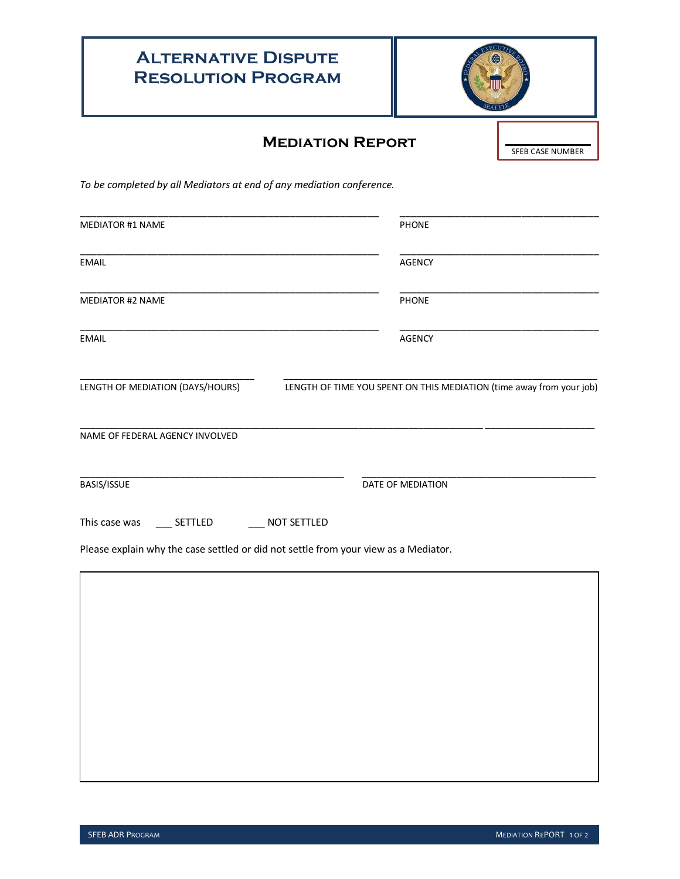| <b>ALTERNATIVE DISPUTE</b><br><b>RESOLUTION PROGRAM</b>                                                                                  |                   |                  |
|------------------------------------------------------------------------------------------------------------------------------------------|-------------------|------------------|
| <b>MEDIATION REPORT</b>                                                                                                                  |                   | SFEB CASE NUMBER |
| To be completed by all Mediators at end of any mediation conference.                                                                     |                   |                  |
| MEDIATOR #1 NAME                                                                                                                         | <b>PHONE</b>      |                  |
| <b>EMAIL</b>                                                                                                                             | <b>AGENCY</b>     |                  |
| <b>MEDIATOR #2 NAME</b>                                                                                                                  | PHONE             |                  |
| <b>EMAIL</b>                                                                                                                             | <b>AGENCY</b>     |                  |
| LENGTH OF MEDIATION (DAYS/HOURS) LENGTH OF TIME YOU SPENT ON THIS MEDIATION (time away from your job)<br>NAME OF FEDERAL AGENCY INVOLVED |                   |                  |
| BASIS/ISSUE                                                                                                                              | DATE OF MEDIATION |                  |
| This case was ______ SETTLED<br>____ NOT SETTLED<br>Please explain why the case settled or did not settle from your view as a Mediator.  |                   |                  |
|                                                                                                                                          |                   |                  |